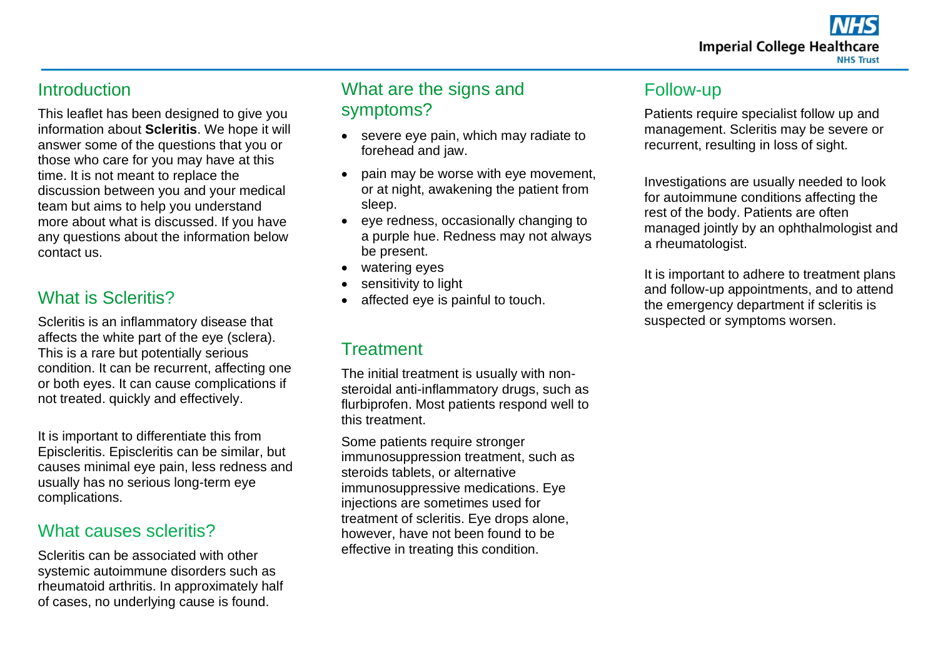#### **Introduction**

This leaflet has been designed to give you information about **Scleritis**. We hope it will answer some of the questions that you or those who care for you may have at this time. It is not meant to replace the discussion between you and your medical team but aims to help you understand more about what is discussed. If you have any questions about the information below contact us.

## What is Scleritis?

Scleritis is an inflammatory disease that affects the white part of the eye (sclera). This is a rare but potentially serious condition. It can be recurrent, affecting one or both eyes. It can cause complications if not treated. quickly and effectively.

It is important to differentiate this from Episcleritis. Episcleritis can be similar, but causes minimal eye pain, less redness and usually has no serious long-term eye complications.

#### What causes scleritis?

Scleritis can be associated with other systemic autoimmune disorders such as rheumatoid arthritis. In approximately half of cases, no underlying cause is found.

# What are the signs and symptoms?

- severe eye pain, which may radiate to forehead and jaw.
- pain may be worse with eye movement, or at night, awakening the patient from sleep.
- eye redness, occasionally changing to a purple hue. Redness may not always be present.
- watering eyes
- sensitivity to light
- affected eve is painful to touch.

# **Treatment**

The initial treatment is usually with nonsteroidal anti-inflammatory drugs, such as flurbiprofen. Most patients respond well to this treatment.

Some patients require stronger immunosuppression treatment, such as steroids tablets, or alternative immunosuppressive medications. Eye injections are sometimes used for treatment of scleritis. Eye drops alone, however, have not been found to be effective in treating this condition.

## Follow-up

Patients require specialist follow up and management. Scleritis may be severe or recurrent, resulting in loss of sight.

Investigations are usually needed to look for autoimmune conditions affecting the rest of the body. Patients are often managed jointly by an ophthalmologist and a rheumatologist.

It is important to adhere to treatment plans and follow-up appointments, and to attend the emergency department if scleritis is suspected or symptoms worsen.